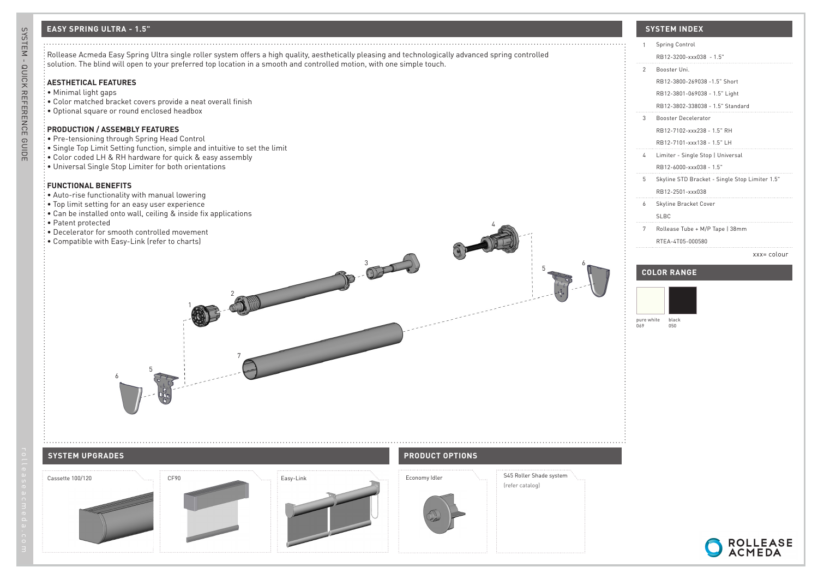# **EASY SPRING ULTRA - 1.5" SYSTEM INDEX**



RB12-3200-xxx038 - 1.5"

# RB12-3800-269038 -1.5" Short RB12-3801-069038 - 1.5" Light RB12-3802-338038 - 1.5" Standard 3 Booster Decelerator RB12-7102-xxx238 - 1.5" RH RB12-7101-xxx138 - 1.5" LH 4 Limiter - Single Stop | Universal RB12-6000-xxx038 - 1.5" 5 Skyline STD Bracket - Single Stop Limiter 1.5" RB12-2501-xxx038

6 Skyline Bracket Cover

SLBC

7 Rollease Tube + M/P Tape | 38mm

RTEA-4T05-000580

### xxx= colour

ROLLEASE<br>ACMEDA

# **COLOR RANGE**



 $\Box$ 

 $\Box$